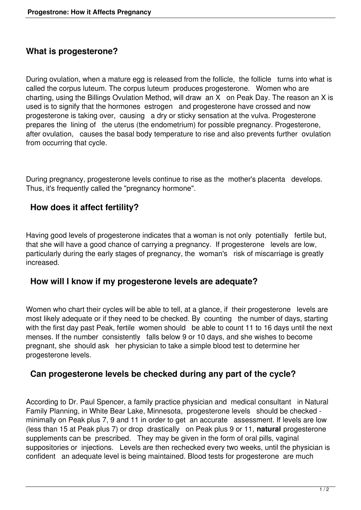## **What is progesterone?**

During ovulation, when a mature egg is released from the follicle, the follicle turns into what is called the corpus luteum. The corpus luteum produces progesterone. Women who are charting, using the Billings Ovulation Method, will draw an X on Peak Day. The reason an X is used is to signify that the hormones estrogen and progesterone have crossed and now progesterone is taking over, causing a dry or sticky sensation at the vulva. Progesterone prepares the lining of the uterus (the endometrium) for possible pregnancy. Progesterone, after ovulation, causes the basal body temperature to rise and also prevents further ovulation from occurring that cycle.

During pregnancy, progesterone levels continue to rise as the mother's placenta develops. Thus, it's frequently called the "pregnancy hormone".

## **How does it affect fertility?**

Having good levels of progesterone indicates that a woman is not only potentially fertile but, that she will have a good chance of carrying a pregnancy. If progesterone levels are low, particularly during the early stages of pregnancy, the woman's risk of miscarriage is greatly increased.

## **How will I know if my progesterone levels are adequate?**

Women who chart their cycles will be able to tell, at a glance, if their progesterone levels are most likely adequate or if they need to be checked. By counting the number of days, starting with the first day past Peak, fertile women should be able to count 11 to 16 days until the next menses. If the number consistently falls below 9 or 10 days, and she wishes to become pregnant, she should ask her physician to take a simple blood test to determine her progesterone levels.

## **Can progesterone levels be checked during any part of the cycle?**

According to Dr. Paul Spencer, a family practice physician and medical consultant in Natural Family Planning, in White Bear Lake, Minnesota, progesterone levels should be checked minimally on Peak plus 7, 9 and 11 in order to get an accurate assessment. If levels are low (less than 15 at Peak plus 7) or drop drastically on Peak plus 9 or 11, **natural** progesterone supplements can be prescribed. They may be given in the form of oral pills, vaginal suppositories or injections. Levels are then rechecked every two weeks, until the physician is confident an adequate level is being maintained. Blood tests for progesterone are much